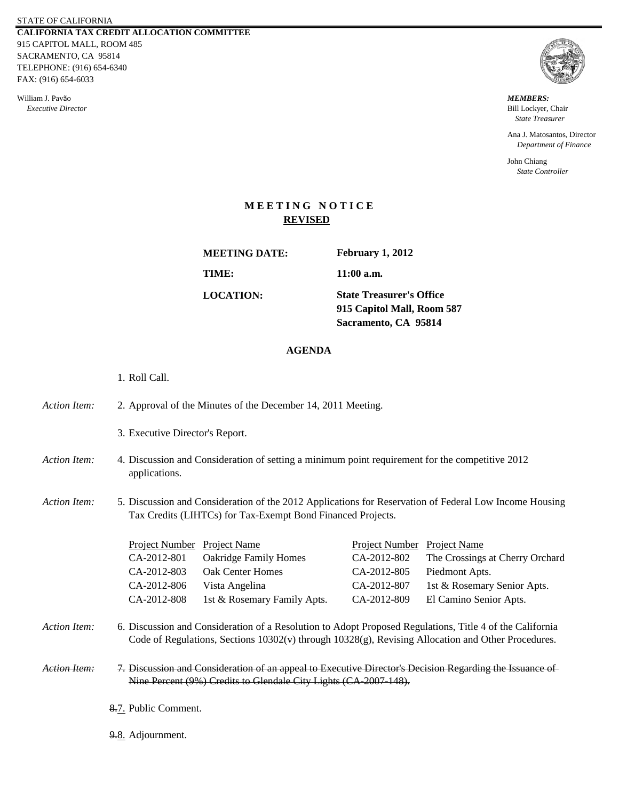STATE OF CALIFORNIA **CALIFORNIA TAX CREDIT ALLOCATION COMMITTEE** 915 CAPITOL MALL, ROOM 485 SACRAMENTO, CA 95814 TELEPHONE: (916) 654-6340 FAX: (916) 654-6033

William J. Pavão *MEMBERS: Executive Director* Bill Lockyer, Chair



 *State Treasurer*

Ana J. Matosantos, Director  *Department of Finance*

John Chiang  *State Controller*

## **M E E T I N G N O T I C E REVISED**

**MEETING DATE: TIME: LOCATION:**

**February 1, 2012**

**11:00 a.m.**

**915 Capitol Mall, Room 587 Sacramento, CA 95814 State Treasurer's Office**

## **AGENDA**

- 1. Roll Call.
- *Action Item:* 2. Approval of the Minutes of the December 14, 2011 Meeting.
	- 3. Executive Director's Report.
- *Action Item:* Discussion and Consideration of setting a minimum point requirement for the competitive 2012 applications.
- *Action Item:* 5. 5. Discussion and Consideration of the 2012 Applications for Reservation of Federal Low Income Housing Tax Credits (LIHTCs) for Tax-Exempt Bond Financed Projects.

| <b>Project Number</b> Project Name |                              | Project Number Project Name |                                 |
|------------------------------------|------------------------------|-----------------------------|---------------------------------|
| CA-2012-801                        | <b>Oakridge Family Homes</b> | CA-2012-802                 | The Crossings at Cherry Orchard |
| CA-2012-803                        | <b>Oak Center Homes</b>      | CA-2012-805                 | Piedmont Apts.                  |
| CA-2012-806                        | Vista Angelina               | CA-2012-807                 | 1st & Rosemary Senior Apts.     |
| CA-2012-808                        | 1st & Rosemary Family Apts.  | CA-2012-809                 | El Camino Senior Apts.          |

- *Action Item:* 6. Discussion and Consideration of a Resolution to Adopt Proposed Regulations, Title 4 of the California Code of Regulations, Sections 10302(v) through 10328(g), Revising Allocation and Other Procedures.
- *Action Item:* 7. Discussion and Consideration of an appeal to Executive Director's Decision Regarding the Issuance of Nine Percent (9%) Credits to Glendale City Lights (CA-2007-148).
	- 8.7. Public Comment.
	- 9.8. Adjournment.